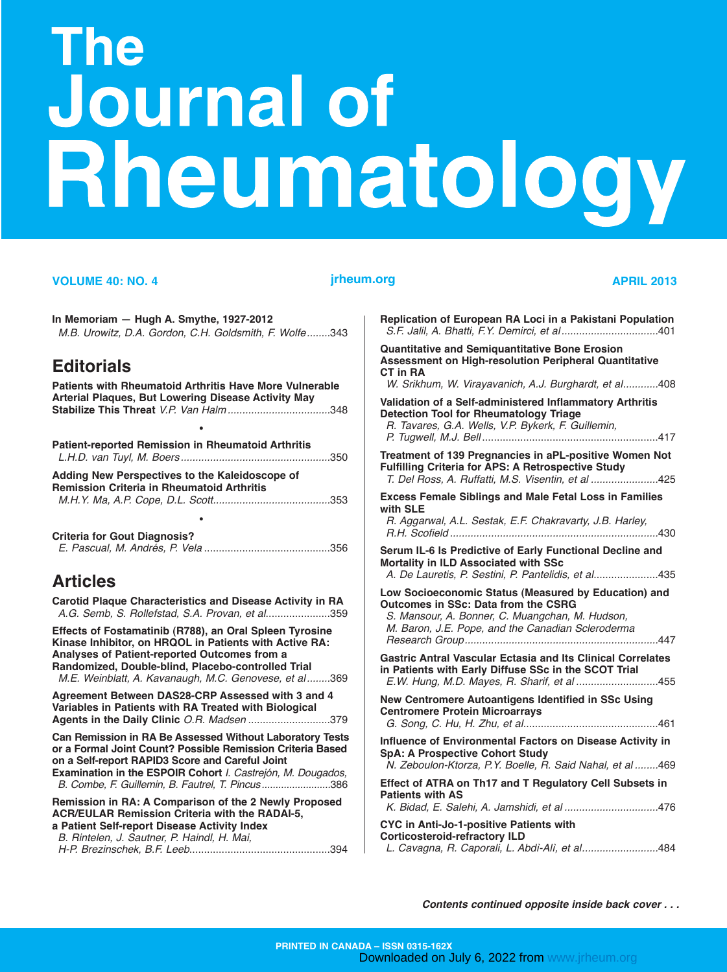# The **Journal of** Rheumatology

#### **VOLUME 40: NO. 4** *jrheum.org* **<b>APRIL 2013**

| In Memoriam - Hugh A. Smythe, 1927-2012<br>M.B. Urowitz, D.A. Gordon, C.H. Goldsmith, F. Wolfe343                                                                                                                                                                                | Replicatio<br>S.F. Jalil,                              |
|----------------------------------------------------------------------------------------------------------------------------------------------------------------------------------------------------------------------------------------------------------------------------------|--------------------------------------------------------|
| <b>Editorials</b><br><b>Patients with Rheumatoid Arthritis Have More Vulnerable</b>                                                                                                                                                                                              | Quantitati<br><b>Assessm</b><br>CT in RA<br>W. Srikh   |
| <b>Arterial Plaques, But Lowering Disease Activity May</b><br><b>Patient-reported Remission in Rheumatoid Arthritis</b>                                                                                                                                                          | Validatior<br><b>Detection</b><br>R. Tavar<br>P. Tugwe |
| Adding New Perspectives to the Kaleidoscope of                                                                                                                                                                                                                                   | <b>Treatmen</b><br><b>Fulfilling</b><br>T. Del Ro      |
| <b>Remission Criteria in Rheumatoid Arthritis</b><br><b>Criteria for Gout Diagnosis?</b>                                                                                                                                                                                         | <b>Excess F</b><br>with SLE<br>R. Aggar<br>R.H. Scc    |
| <b>Articles</b>                                                                                                                                                                                                                                                                  | Serum IL-<br><b>Mortality</b><br>A. De La              |
| Carotid Plaque Characteristics and Disease Activity in RA<br>A.G. Semb, S. Rollefstad, S.A. Provan, et al359                                                                                                                                                                     | <b>Low Soci</b><br>Outcome:<br>S. Manso<br>M. Baror    |
| Effects of Fostamatinib (R788), an Oral Spleen Tyrosine<br>Kinase Inhibitor, on HRQOL in Patients with Active RA:<br>Analyses of Patient-reported Outcomes from a<br>Randomized, Double-blind, Placebo-controlled Trial<br>M.E. Weinblatt, A. Kavanaugh, M.C. Genovese, et al369 | Researci<br><b>Gastric A</b><br>in Patient<br>E.W. Hui |
| Agreement Between DAS28-CRP Assessed with 3 and 4<br>Variables in Patients with RA Treated with Biological<br>Agents in the Daily Clinic O.R. Madsen 379                                                                                                                         | <b>New Cent</b><br>Centrome<br>G. Song,                |
| Can Remission in RA Be Assessed Without Laboratory Tests<br>or a Formal Joint Count? Possible Remission Criteria Based<br>on a Self-report RAPID3 Score and Careful Joint<br>Examination in the ESPOIR Cohort I. Castrejón, M. Dougados,                                         | <b>Influence</b><br>SpA: A Pi<br>N. Zebol              |
| B. Combe, F. Guillemin, B. Fautrel, T. Pincus386<br>Remission in RA: A Comparison of the 2 Newly Proposed<br><b>ACR/EULAR Remission Criteria with the RADAI-5,</b>                                                                                                               | Effect of<br>Patients \<br>K. Bidad                    |
| a Patient Self-report Disease Activity Index<br>B. Rintelen, J. Sautner, P. Haindl, H. Mai,                                                                                                                                                                                      | <b>CYC in A</b><br><b>Corticost</b><br>L. Cavag        |

**Replication of European RA Loci in a Pakistani Population**  *S.F. Jalil, A. Bhatti, F.Y. Demirci, et al.................................*401 **Quantitative and Semiquantitative Bone Erosion Assessment on High-resolution Peripheral Quantitative**  *W. Srikhum, W. Virayavanich, A.J. Burghardt, et al............*408 **Validation of a Self-administered Inflammatory Arthritis Detection Tool for Rheumatology Triage**  *R. Tavares, G.A. Wells, V.P. Bykerk, F. Guillemin, P. Tugwell, M.J. Bell* ............................................................417 **Treatment of 139 Pregnancies in aPL-positive Women Not Criteria for APS: A Retrospective Study** *T. Del Ross, A. Ruffatti, M.S. Visentin, et al .......................*425 **Example Siblings and Male Fetal Loss in Families** *R. Aggarwal, A.L. Sestak, E.F. Chakravarty, J.B. Harley, R.H. Scofield .......................................................................*430 **-6 Is Predictive of Early Functional Decline and in ILD Associated with SSc** *A. De Lauretis, P. Sestini, P. Pantelidis, et al*......................435 **Low Socioeconomic Status (Measured by Education) and s** in SSc: Data from the CSRG *S. Mansour, A. Bonner, C. Muangchan, M. Hudson, M. Baron, J.E. Pope, and the Canadian Scleroderma Research Group..................................................................*447 **Gastric Antral Vascular Ectasia and Its Clinical Correlates in Patients with Early Diffuse SSc in the SCOT Trial**  *E.W. Hung, M.D. Mayes, R. Sharif, et al ............................*455 **New Centromere Autoantigens Identified in SSc Using Centromere Protein Microarrays**  *G. Song, C. Hu, H. Zhu, et al*..............................................461 **of Environmental Factors on Disease Activity in rospective Cohort Study** *N. Zeboulon-Ktorza, P.Y. Boelle, R. Said Nahal, et al ........*469 **Effect of ATRA on Th17 and T Regulatory Cell Subsets in Patients with AS**  *K. Bidad, E. Salehi, A. Jamshidi, et al ................................*476 **CYC in Anti-Jo-1-positive Patients with Corticosteroid-refractory ILD** 

*L. Cavagna, R. Caporali, L. Abdì-Alì, et al..........................*484

*Contents continued opposite inside back cover . . .*